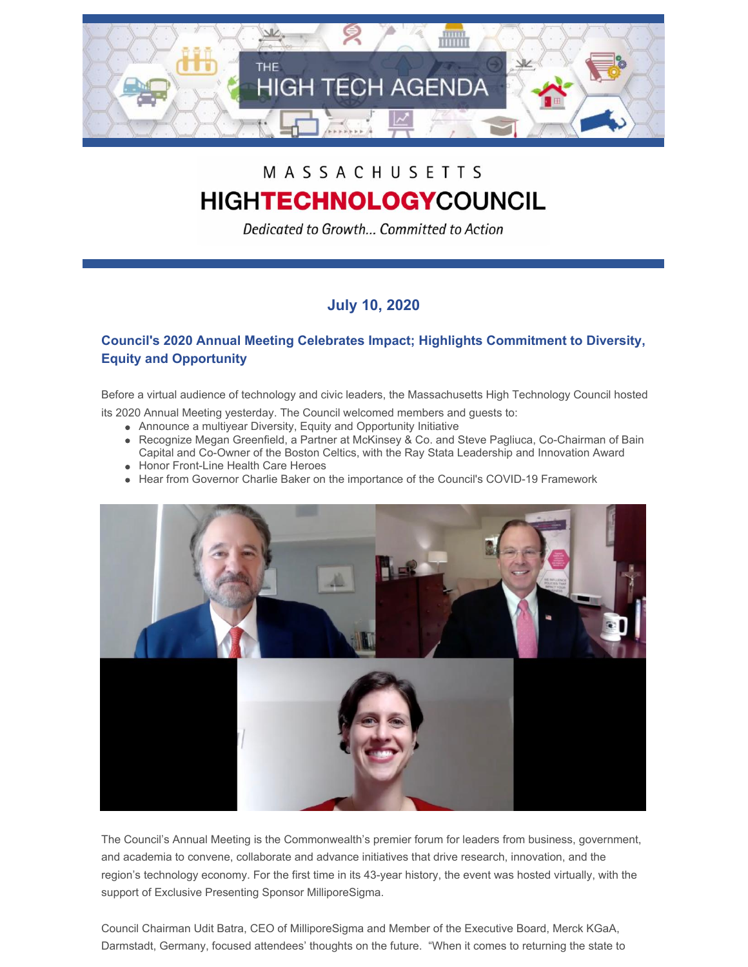

## MASSACHUSETTS **HIGHTECHNOLOGYCOUNCIL**

Dedicated to Growth... Committed to Action

## **July 10, 2020**

## **Council's 2020 Annual Meeting Celebrates Impact; Highlights Commitment to Diversity, Equity and Opportunity**

Before a virtual audience of technology and civic leaders, the Massachusetts High Technology Council hosted

its 2020 Annual Meeting yesterday. The Council welcomed members and guests to:

- Announce a multiyear Diversity, Equity and Opportunity Initiative
- Recognize Megan Greenfield, a Partner at McKinsey & Co. and Steve Pagliuca, Co-Chairman of Bain Capital and Co-Owner of the Boston Celtics, with the Ray Stata Leadership and Innovation Award
- Honor Front-Line Health Care Heroes
- Hear from Governor Charlie Baker on the importance of the Council's COVID-19 Framework



The Council's Annual Meeting is the Commonwealth's premier forum for leaders from business, government, and academia to convene, collaborate and advance initiatives that drive research, innovation, and the region's technology economy. For the first time in its 43-year history, the event was hosted virtually, with the support of Exclusive Presenting Sponsor MilliporeSigma.

Council Chairman Udit Batra, CEO of MilliporeSigma and Member of the Executive Board, Merck KGaA, Darmstadt, Germany, focused attendees' thoughts on the future. "When it comes to returning the state to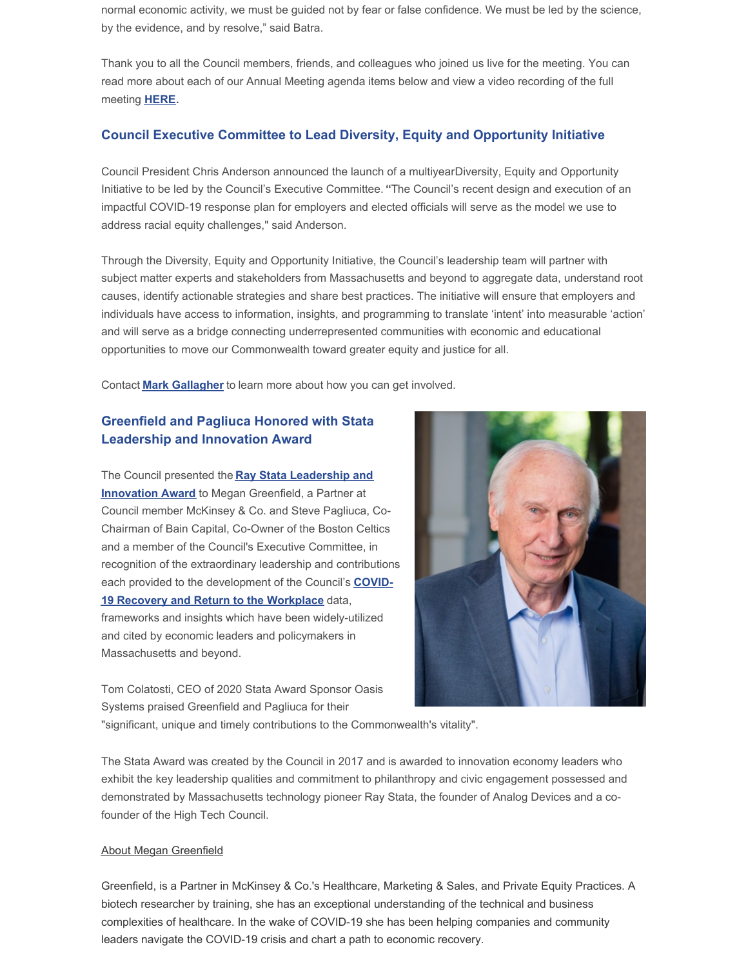normal economic activity, we must be guided not by fear or false confidence. We must be led by the science, by the evidence, and by resolve," said Batra.

Thank you to all the Council members, friends, and colleagues who joined us live for the meeting. You can read more about each of our Annual Meeting agenda items below and view a video recording of the full meeting **[HERE](https://link.edgepilot.com/s/17a4a413/s1bC5jwBl0K6Y8fO5pVJNQ?u=https://livestream.com/accounts/25338798/events/9161592)**.

#### **Council Executive Committee to Lead Diversity, Equity and Opportunity Initiative**

Council President Chris Anderson announced the launch of a multiyearDiversity, Equity and Opportunity Initiative to be led by the Council's Executive Committee.**"**The Council's recent design and execution of an impactful COVID-19 response plan for employers and elected officials will serve as the model we use to address racial equity challenges," said Anderson.

Through the Diversity, Equity and Opportunity Initiative, the Council's leadership team will partner with subject matter experts and stakeholders from Massachusetts and beyond to aggregate data, understand root causes, identify actionable strategies and share best practices. The initiative will ensure that employers and individuals have access to information, insights, and programming to translate 'intent' into measurable 'action' and will serve as a bridge connecting underrepresented communities with economic and educational opportunities to move our Commonwealth toward greater equity and justice for all.

Contact **Mark [Gallagher](mailto:mark@mhtc.org)** to learn more about how you can get involved.

### **Greenfield and Pagliuca Honored with Stata Leadership and Innovation Award**

The Council presented the **Ray Stata [Leadership](http://www.mhtc.org/about-us/bay-state-leadership-award/) and Innovation Award** to Megan Greenfield, a Partner at Council member McKinsey & Co. and Steve Pagliuca, Co-Chairman of Bain Capital, Co-Owner of the Boston Celtics and a member of the Council's Executive Committee, in recognition of the extraordinary leadership and contributions each provided to the [development](http://www.mhtc.org/wp-content/uploads/2020/05/MHTC-COVID-19-Briefing-v33-5.13.20.pdf) of the Council's **COVID-19 Recovery and Return to the Workplace** data, frameworks and insights which have been widely-utilized and cited by economic leaders and policymakers in Massachusetts and beyond.

Tom Colatosti, CEO of 2020 Stata Award Sponsor Oasis Systems praised Greenfield and Pagliuca for their

"significant, unique and timely contributions to the Commonwealth's vitality".

The Stata Award was created by the Council in 2017 and is awarded to innovation economy leaders who exhibit the key leadership qualities and commitment to philanthropy and civic engagement possessed and demonstrated by Massachusetts technology pioneer Ray Stata, the founder of Analog Devices and a cofounder of the High Tech Council.

#### About Megan Greenfield

Greenfield, is a Partner in McKinsey & Co.'s Healthcare, Marketing & Sales, and Private Equity Practices. A biotech researcher by training, she has an exceptional understanding of the technical and business complexities of healthcare. In the wake of COVID-19 she has been helping companies and community leaders navigate the COVID-19 crisis and chart a path to economic recovery.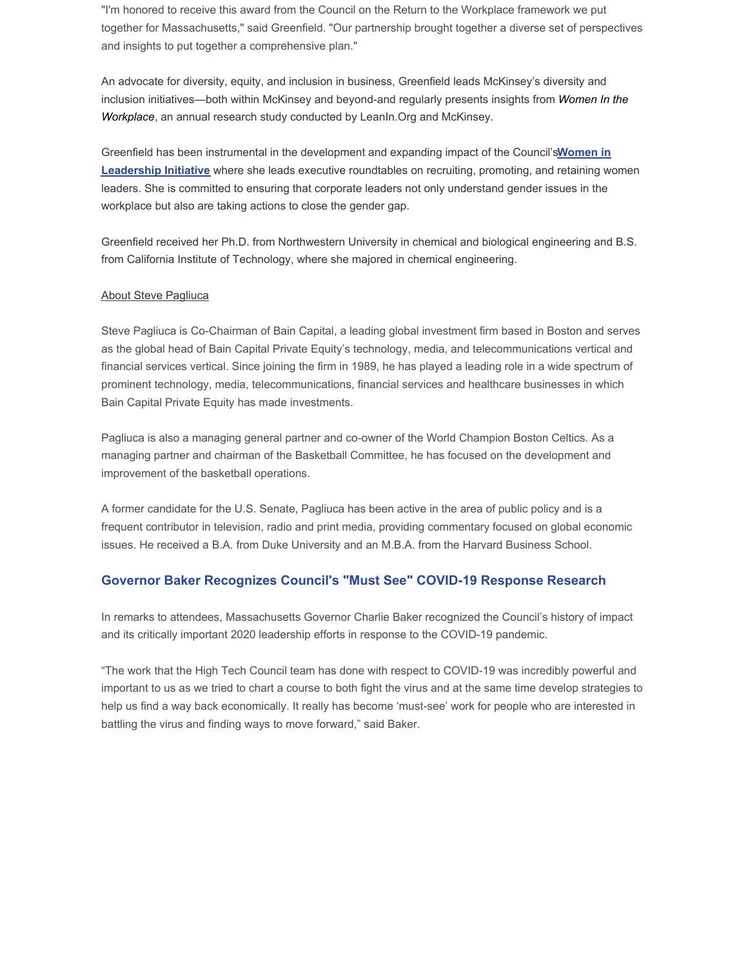"I'm honored to receive this award from the Council on the Return to the Workplace framework we put together for Massachusetts," said Greenfield. "Our partnership brought together a diverse set of perspectives and insights to put together a comprehensive plan."

An advocate for diversity, equity, and inclusion in business, Greenfield leads McKinsey's diversity and inclusion [initiatives—both](https://www.mckinsey.com/featured-insights/gender-equality/women-in-the-workplace-2019) within McKinsey and beyond-and regularly presents insights from *Women In the Workplace*, an annual research study conducted by LeanIn.Org and McKinsey.

Greenfield has been instrumental in the [development](http://www.mhtc.org/advocacy/women-in-leadership/) and expanding impact of the Council's**Women in Leadership Initiative** where she leads executive roundtables on recruiting, promoting, and retaining women leaders. She is committed to ensuring that corporate leaders not only understand gender issues in the workplace but also are taking actions to close the gender gap.

Greenfield received her Ph.D. from Northwestern University in chemical and biological engineering and B.S. from California Institute of Technology, where she majored in chemical engineering.

#### About Steve Pagliuca

Steve Pagliuca is Co-Chairman of Bain Capital, a leading global investment firm based in Boston and serves as the global head of Bain Capital Private Equity's technology, media, and telecommunications vertical and financial services vertical. Since joining the firm in 1989, he has played a leading role in a wide spectrum of prominent technology, media, telecommunications, financial services and healthcare businesses in which Bain Capital Private Equity has made investments.

Pagliuca is also a managing general partner and co-owner of the World Champion Boston Celtics. As a managing partner and chairman of the Basketball Committee, he has focused on the development and improvement of the basketball operations.

A former candidate for the U.S. Senate, Pagliuca has been active in the area of public policy and is a frequent contributor in television, radio and print media, providing commentary focused on global economic issues. He received a B.A. from Duke University and an M.B.A. from the Harvard Business School.

#### **Governor Baker Recognizes Council's "Must See" COVID-19 Response Research**

In remarks to attendees, Massachusetts Governor Charlie Baker recognized the Council's history of impact and its critically important 2020 leadership efforts in response to the COVID-19 pandemic.

"The work that the High Tech Council team has done with respect to COVID-19 was incredibly powerful and important to us as we tried to chart a course to both fight the virus and at the same time develop strategies to help us find a way back economically. It really has become 'must-see' work for people who are interested in battling the virus and finding ways to move forward," said Baker.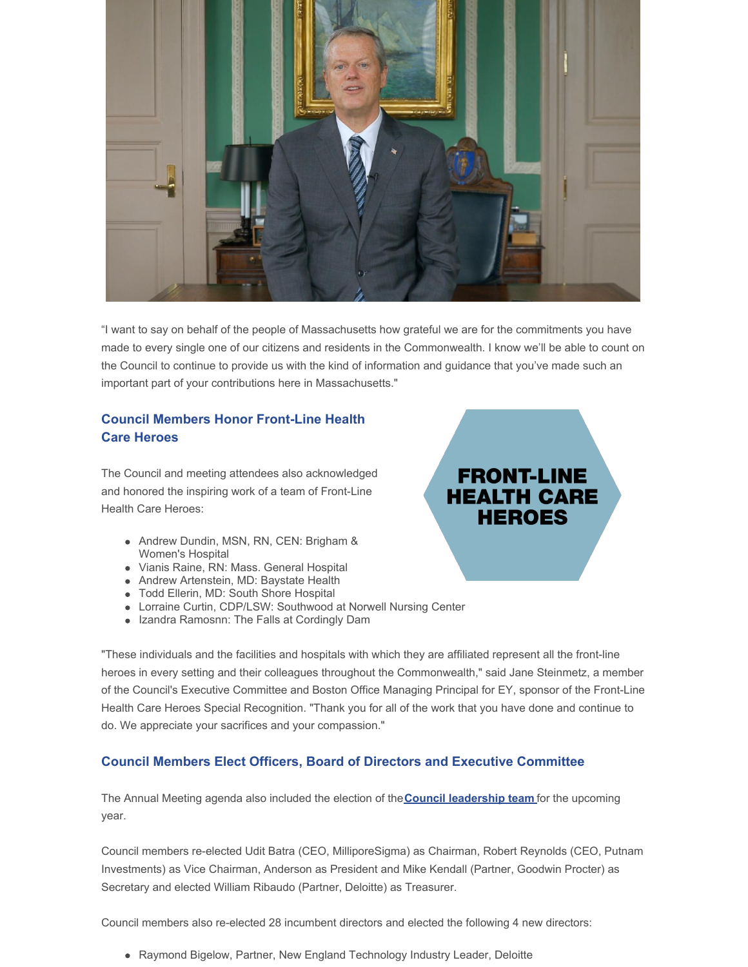

"I want to say on behalf of the people of Massachusetts how grateful we are for the commitments you have made to every single one of our citizens and residents in the Commonwealth. I know we'll be able to count on the Council to continue to provide us with the kind of information and guidance that you've made such an important part of your contributions here in Massachusetts."

### **Council Members Honor Front-Line Health Care Heroes**

The Council and meeting attendees also acknowledged and honored the inspiring work of a team of Front-Line Health Care Heroes:

- Andrew Dundin, MSN, RN, CEN: Brigham & Women's Hospital
- Vianis Raine, RN: Mass. General Hospital
- Andrew Artenstein, MD: Baystate Health
- Todd Ellerin, MD: South Shore Hospital
- Lorraine Curtin, CDP/LSW: Southwood at Norwell Nursing Center
- Izandra Ramosnn: The Falls at Cordingly Dam

"These individuals and the facilities and hospitals with which they are affiliated represent all the front-line heroes in every setting and their colleagues throughout the Commonwealth," said Jane Steinmetz, a member of the Council's Executive Committee and Boston Office Managing Principal for EY, sponsor of the Front-Line Health Care Heroes Special Recognition. "Thank you for all of the work that you have done and continue to do. We appreciate your sacrifices and your compassion."

#### **Council Members Elect Officers, Board of Directors and Executive Committee**

The Annual Meeting agenda also included the election of the**Council [leadership](http://www.mhtc.org/wp-content/uploads/2020/07/2020-MHTC-Leadership-Election-FINAL.pdf) team** for the upcoming year.

Council members re-elected Udit Batra (CEO, MilliporeSigma) as Chairman, Robert Reynolds (CEO, Putnam Investments) as Vice Chairman, Anderson as President and Mike Kendall (Partner, Goodwin Procter) as Secretary and elected William Ribaudo (Partner, Deloitte) as Treasurer.

Council members also re-elected 28 incumbent directors and elected the following 4 new directors:

• Raymond Bigelow, Partner, New England Technology Industry Leader, Deloitte

# **FRONT-LINE HEALTH CARE HEROES**